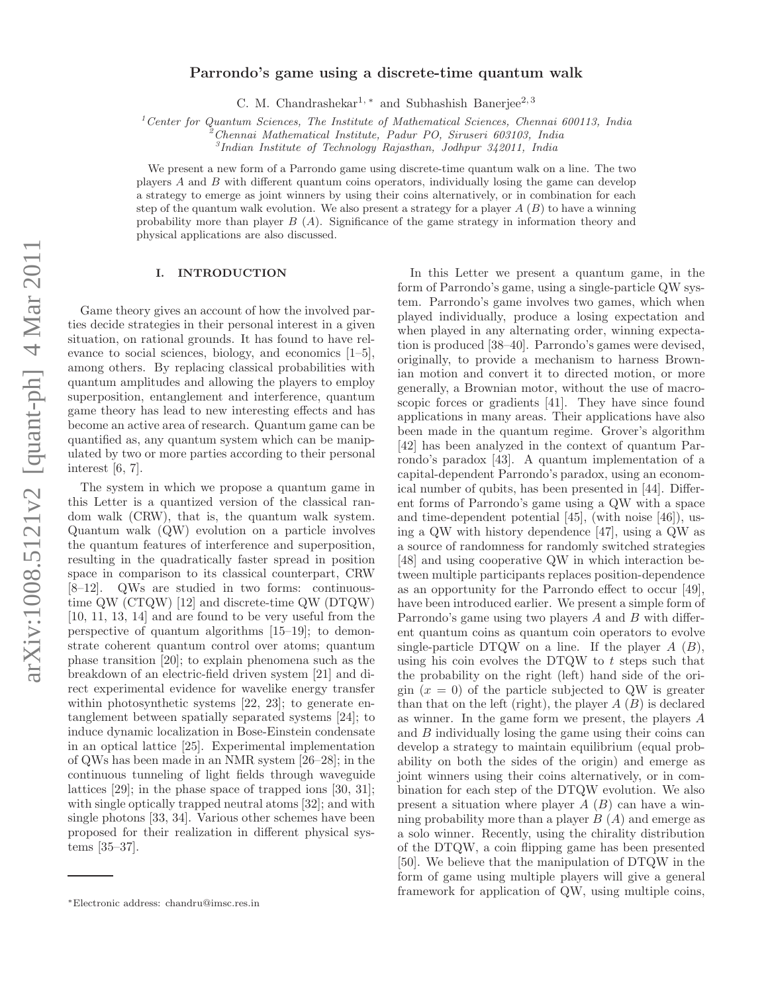# Parrondo's game using a discrete-time quantum walk

C. M. Chandrashekar<sup>1, ∗</sup> and Subhashish Banerjee<sup>2, 3</sup>

<sup>1</sup>*Center for Quantum Sciences, The Institute of Mathematical Sciences, Chennai 600113, India*

<sup>2</sup>*Chennai Mathematical Institute, Padur PO, Siruseri 603103, India*

3 *Indian Institute of Technology Rajasthan, Jodhpur 342011, India*

We present a new form of a Parrondo game using discrete-time quantum walk on a line. The two players A and B with different quantum coins operators, individually losing the game can develop a strategy to emerge as joint winners by using their coins alternatively, or in combination for each step of the quantum walk evolution. We also present a strategy for a player  $A(B)$  to have a winning probability more than player  $B(A)$ . Significance of the game strategy in information theory and physical applications are also discussed.

### I. INTRODUCTION

Game theory gives an account of how the involved parties decide strategies in their personal interest in a given situation, on rational grounds. It has found to have relevance to social sciences, biology, and economics [1–5], among others. By replacing classical probabilities with quantum amplitudes and allowing the players to employ superposition, entanglement and interference, quantum game theory has lead to new interesting effects and has become an active area of research. Quantum game can be quantified as, any quantum system which can be manipulated by two or more parties according to their personal interest [6, 7].

The system in which we propose a quantum game in this Letter is a quantized version of the classical random walk (CRW), that is, the quantum walk system. Quantum walk (QW) evolution on a particle involves the quantum features of interference and superposition, resulting in the quadratically faster spread in position space in comparison to its classical counterpart, CRW [8–12]. QWs are studied in two forms: continuoustime QW (CTQW) [12] and discrete-time QW (DTQW) [10, 11, 13, 14] and are found to be very useful from the perspective of quantum algorithms [15–19]; to demonstrate coherent quantum control over atoms; quantum phase transition [20]; to explain phenomena such as the breakdown of an electric-field driven system [21] and direct experimental evidence for wavelike energy transfer within photosynthetic systems [22, 23]; to generate entanglement between spatially separated systems [24]; to induce dynamic localization in Bose-Einstein condensate in an optical lattice [25]. Experimental implementation of QWs has been made in an NMR system [26–28]; in the continuous tunneling of light fields through waveguide lattices [29]; in the phase space of trapped ions [30, 31]; with single optically trapped neutral atoms [32]; and with single photons [33, 34]. Various other schemes have been proposed for their realization in different physical systems [35–37].

In this Letter we present a quantum game, in the form of Parrondo's game, using a single-particle QW system. Parrondo's game involves two games, which when played individually, produce a losing expectation and when played in any alternating order, winning expectation is produced [38–40]. Parrondo's games were devised, originally, to provide a mechanism to harness Brownian motion and convert it to directed motion, or more generally, a Brownian motor, without the use of macroscopic forces or gradients [41]. They have since found applications in many areas. Their applications have also been made in the quantum regime. Grover's algorithm [42] has been analyzed in the context of quantum Parrondo's paradox [43]. A quantum implementation of a capital-dependent Parrondo's paradox, using an economical number of qubits, has been presented in [44]. Different forms of Parrondo's game using a QW with a space and time-dependent potential [45], (with noise [46]), using a QW with history dependence [47], using a QW as a source of randomness for randomly switched strategies [48] and using cooperative QW in which interaction between multiple participants replaces position-dependence as an opportunity for the Parrondo effect to occur [49], have been introduced earlier. We present a simple form of Parrondo's game using two players A and B with different quantum coins as quantum coin operators to evolve single-particle DTQW on a line. If the player  $A(B)$ , using his coin evolves the  $DTQW$  to t steps such that the probability on the right (left) hand side of the origin  $(x = 0)$  of the particle subjected to QW is greater than that on the left (right), the player  $A(B)$  is declared as winner. In the game form we present, the players A and B individually losing the game using their coins can develop a strategy to maintain equilibrium (equal probability on both the sides of the origin) and emerge as joint winners using their coins alternatively, or in combination for each step of the DTQW evolution. We also present a situation where player  $A(B)$  can have a winning probability more than a player  $B(A)$  and emerge as a solo winner. Recently, using the chirality distribution of the DTQW, a coin flipping game has been presented [50]. We believe that the manipulation of DTQW in the form of game using multiple players will give a general framework for application of QW, using multiple coins,

<sup>∗</sup>Electronic address: chandru@imsc.res.in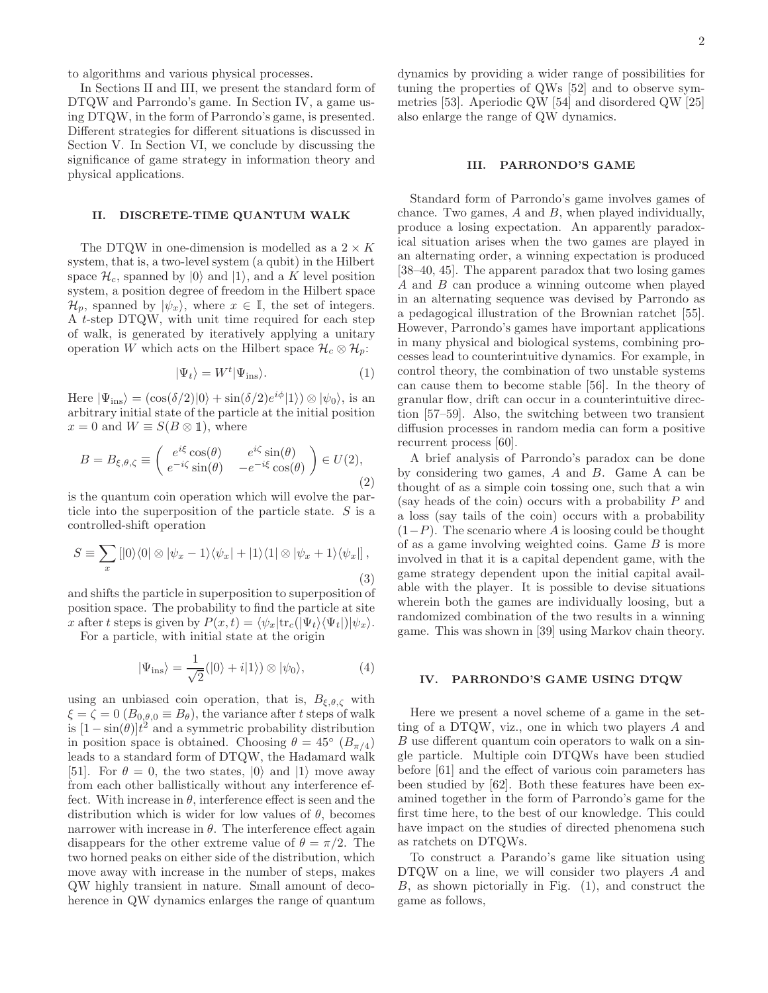to algorithms and various physical processes.

In Sections II and III, we present the standard form of DTQW and Parrondo's game. In Section IV, a game using DTQW, in the form of Parrondo's game, is presented. Different strategies for different situations is discussed in Section V. In Section VI, we conclude by discussing the significance of game strategy in information theory and physical applications.

# II. DISCRETE-TIME QUANTUM WALK

The DTQW in one-dimension is modelled as a  $2 \times K$ system, that is, a two-level system (a qubit) in the Hilbert space  $\mathcal{H}_c$ , spanned by  $|0\rangle$  and  $|1\rangle$ , and a K level position system, a position degree of freedom in the Hilbert space  $\mathcal{H}_p$ , spanned by  $|\psi_x\rangle$ , where  $x \in \mathbb{I}$ , the set of integers. A t-step DTQW, with unit time required for each step of walk, is generated by iteratively applying a unitary operation W which acts on the Hilbert space  $\mathcal{H}_c \otimes \mathcal{H}_p$ :

$$
|\Psi_t\rangle = W^t |\Psi_{\text{ins}}\rangle.
$$
 (1)

Here  $|\Psi_{\text{ins}}\rangle = (\cos(\delta/2)|0\rangle + \sin(\delta/2)e^{i\phi}|1\rangle) \otimes |\psi_0\rangle$ , is an arbitrary initial state of the particle at the initial position  $x = 0$  and  $W \equiv S(B \otimes 1)$ , where

$$
B = B_{\xi, \theta, \zeta} \equiv \begin{pmatrix} e^{i\xi} \cos(\theta) & e^{i\zeta} \sin(\theta) \\ e^{-i\zeta} \sin(\theta) & -e^{-i\xi} \cos(\theta) \end{pmatrix} \in U(2), \tag{2}
$$

is the quantum coin operation which will evolve the particle into the superposition of the particle state. S is a controlled-shift operation

$$
S \equiv \sum_{x} [|0\rangle\langle 0| \otimes |\psi_x - 1\rangle\langle\psi_x| + |1\rangle\langle 1| \otimes |\psi_x + 1\rangle\langle\psi_x|],
$$
\n(3)

and shifts the particle in superposition to superposition of position space. The probability to find the particle at site x after t steps is given by  $P(x,t) = \langle \psi_x | \text{tr}_c(|\Psi_t\rangle \langle \Psi_t|) | \psi_x \rangle$ .

For a particle, with initial state at the origin

$$
|\Psi_{\text{ins}}\rangle = \frac{1}{\sqrt{2}}(|0\rangle + i|1\rangle) \otimes |\psi_0\rangle, \tag{4}
$$

using an unbiased coin operation, that is,  $B_{\xi,\theta,\zeta}$  with  $\xi = \zeta = 0$  ( $B_{0,\theta,0} \equiv B_{\theta}$ ), the variance after t steps of walk is  $[1 - \sin(\theta)]t^2$  and a symmetric probability distribution in position space is obtained. Choosing  $\theta = 45^{\circ}$  ( $B_{\pi/4}$ ) leads to a standard form of DTQW, the Hadamard walk [51]. For  $\theta = 0$ , the two states,  $|0\rangle$  and  $|1\rangle$  move away from each other ballistically without any interference effect. With increase in  $\theta$ , interference effect is seen and the distribution which is wider for low values of  $\theta$ , becomes narrower with increase in  $\theta$ . The interference effect again disappears for the other extreme value of  $\theta = \pi/2$ . The two horned peaks on either side of the distribution, which move away with increase in the number of steps, makes QW highly transient in nature. Small amount of decoherence in QW dynamics enlarges the range of quantum dynamics by providing a wider range of possibilities for tuning the properties of QWs [52] and to observe symmetries [53]. Aperiodic QW [54] and disordered QW [25] also enlarge the range of QW dynamics.

### III. PARRONDO'S GAME

Standard form of Parrondo's game involves games of chance. Two games,  $A$  and  $B$ , when played individually, produce a losing expectation. An apparently paradoxical situation arises when the two games are played in an alternating order, a winning expectation is produced [38–40, 45]. The apparent paradox that two losing games A and B can produce a winning outcome when played in an alternating sequence was devised by Parrondo as a pedagogical illustration of the Brownian ratchet [55]. However, Parrondo's games have important applications in many physical and biological systems, combining processes lead to counterintuitive dynamics. For example, in control theory, the combination of two unstable systems can cause them to become stable [56]. In the theory of granular flow, drift can occur in a counterintuitive direction [57–59]. Also, the switching between two transient diffusion processes in random media can form a positive recurrent process [60].

A brief analysis of Parrondo's paradox can be done by considering two games, A and B. Game A can be thought of as a simple coin tossing one, such that a win (say heads of the coin) occurs with a probability  $P$  and a loss (say tails of the coin) occurs with a probability  $(1-P)$ . The scenario where A is loosing could be thought of as a game involving weighted coins. Game  $B$  is more involved in that it is a capital dependent game, with the game strategy dependent upon the initial capital available with the player. It is possible to devise situations wherein both the games are individually loosing, but a randomized combination of the two results in a winning game. This was shown in [39] using Markov chain theory.

# IV. PARRONDO'S GAME USING DTQW

Here we present a novel scheme of a game in the setting of a DTQW, viz., one in which two players A and B use different quantum coin operators to walk on a single particle. Multiple coin DTQWs have been studied before [61] and the effect of various coin parameters has been studied by [62]. Both these features have been examined together in the form of Parrondo's game for the first time here, to the best of our knowledge. This could have impact on the studies of directed phenomena such as ratchets on DTQWs.

To construct a Parando's game like situation using DTQW on a line, we will consider two players A and B, as shown pictorially in Fig. (1), and construct the game as follows,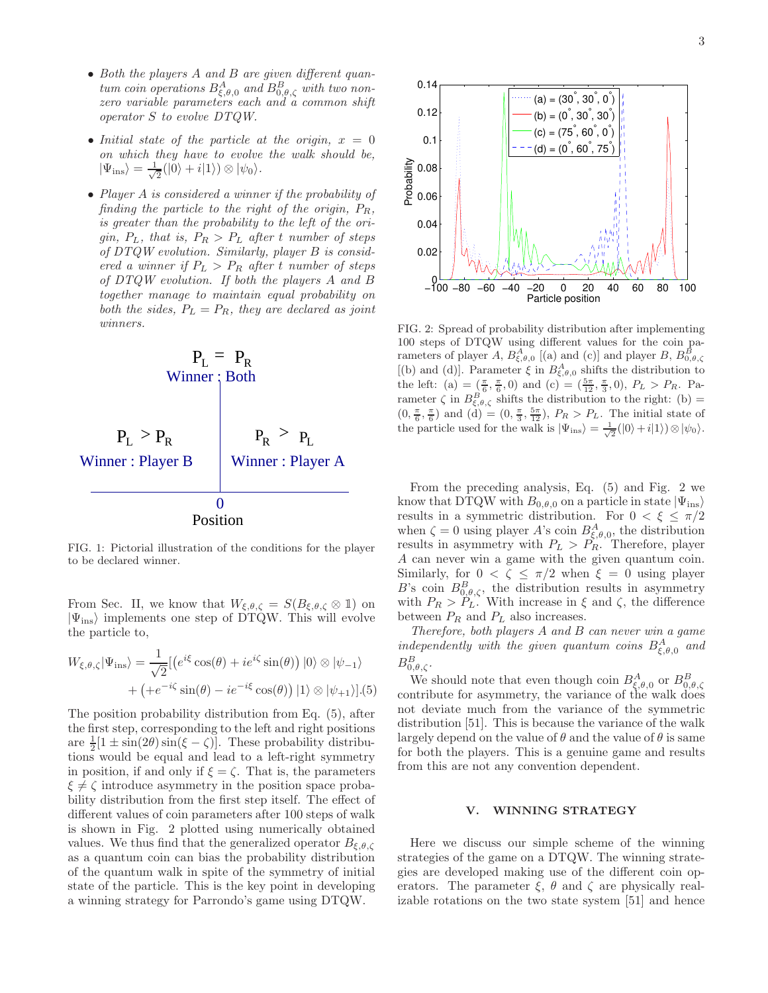- Both the players A and B are given different quantum coin operations  $B_{\xi,\theta,0}^{A}$  and  $B_{0,\theta,\zeta}^{B}$  with two nonzero variable parameters each and a common shift operator S to evolve DTQW.
- Initial state of the particle at the origin,  $x = 0$ on which they have to evolve the walk should be,  $|\Psi_{\rm ins}\rangle = \frac{1}{\sqrt{2}}$  $\frac{1}{2}(|0\rangle + i|1\rangle) \otimes |\psi_0\rangle.$
- Player A is considered a winner if the probability of finding the particle to the right of the origin,  $P_R$ , is greater than the probability to the left of the origin,  $P_L$ , that is,  $P_R > P_L$  after t number of steps of DTQW evolution. Similarly, player B is considered a winner if  $P_L > P_R$  after t number of steps of DTQW evolution. If both the players A and B together manage to maintain equal probability on both the sides,  $P_L = P_R$ , they are declared as joint winners.



FIG. 1: Pictorial illustration of the conditions for the player to be declared winner.

From Sec. II, we know that  $W_{\xi,\theta,\zeta} = S(B_{\xi,\theta,\zeta} \otimes 1)$  on  $|\Psi_{\text{ins}}\rangle$  implements one step of DTQW. This will evolve the particle to,

$$
W_{\xi,\theta,\zeta}|\Psi_{\text{ins}}\rangle = \frac{1}{\sqrt{2}}[(e^{i\xi}\cos(\theta) + ie^{i\zeta}\sin(\theta))|0\rangle \otimes |\psi_{-1}\rangle
$$
  
+  $(+e^{-i\zeta}\sin(\theta) - ie^{-i\xi}\cos(\theta))|1\rangle \otimes |\psi_{+1}\rangle].(5)$ 

The position probability distribution from Eq. (5), after the first step, corresponding to the left and right positions are  $\frac{1}{2}[1 \pm \sin(2\theta) \sin(\xi - \zeta)]$ . These probability distributions would be equal and lead to a left-right symmetry in position, if and only if  $\xi = \zeta$ . That is, the parameters  $\xi \neq \zeta$  introduce asymmetry in the position space probability distribution from the first step itself. The effect of different values of coin parameters after 100 steps of walk is shown in Fig. 2 plotted using numerically obtained values. We thus find that the generalized operator  $B_{\xi,\theta,\zeta}$ as a quantum coin can bias the probability distribution of the quantum walk in spite of the symmetry of initial state of the particle. This is the key point in developing a winning strategy for Parrondo's game using DTQW.



FIG. 2: Spread of probability distribution after implementing 100 steps of DTQW using different values for the coin parameters of player A,  $B_{\xi,\theta,0}^{A}$  [(a) and (c)] and player B,  $B_{0,\theta,\zeta}^{B}$ [(b) and (d)]. Parameter  $\xi$  in  $B_{\xi,\theta,0}^A$  shifts the distribution to the left: (a) =  $(\frac{\pi}{6}, \frac{\pi}{6}, 0)$  and (c) =  $(\frac{5\pi}{12}, \frac{\pi}{3}, 0)$ ,  $P_L > P_R$ . Parameter  $\zeta$  in  $B_{\xi,\theta,\zeta}^B$  shifts the distribution to the right: (b) =  $(0, \frac{\pi}{6}, \frac{\pi}{6})$  and  $(d) = (0, \frac{\pi}{3}, \frac{5\pi}{12})$ ,  $P_R > P_L$ . The initial state of the particle used for the walk is  $|\Psi_{\text{ins}}\rangle = \frac{1}{\sqrt{2}}(|0\rangle + i|1\rangle) \otimes |\psi_0\rangle$ .

From the preceding analysis, Eq. (5) and Fig. 2 we know that DTQW with  $B_{0,\theta,0}$  on a particle in state  $|\Psi_{\text{ins}}\rangle$ results in a symmetric distribution. For  $0 < \xi \leq \pi/2$ when  $\zeta = 0$  using player A's coin  $B_{\xi,\theta,0}^A$ , the distribution results in asymmetry with  $P_L > P_R$ . Therefore, player A can never win a game with the given quantum coin. Similarly, for  $0 < \zeta \leq \pi/2$  when  $\xi = 0$  using player B's coin  $B_{0,\theta,\zeta}^B$ , the distribution results in asymmetry with  $P_R > P_L$ . With increase in  $\xi$  and  $\zeta$ , the difference between  $P_R$  and  $P_L$  also increases.

Therefore, both players A and B can never win a game independently with the given quantum coins  $B_{\xi,\theta,0}^{A}$  and  $B^B_{0,\theta,\zeta}$ .

We should note that even though coin  $B_{\xi,\theta,0}^A$  or  $B_{0,\theta,\zeta}^B$ contribute for asymmetry, the variance of the walk does not deviate much from the variance of the symmetric distribution [51]. This is because the variance of the walk largely depend on the value of  $\theta$  and the value of  $\theta$  is same for both the players. This is a genuine game and results from this are not any convention dependent.

#### V. WINNING STRATEGY

Here we discuss our simple scheme of the winning strategies of the game on a DTQW. The winning strategies are developed making use of the different coin operators. The parameter  $\xi$ ,  $\theta$  and  $\zeta$  are physically realizable rotations on the two state system [51] and hence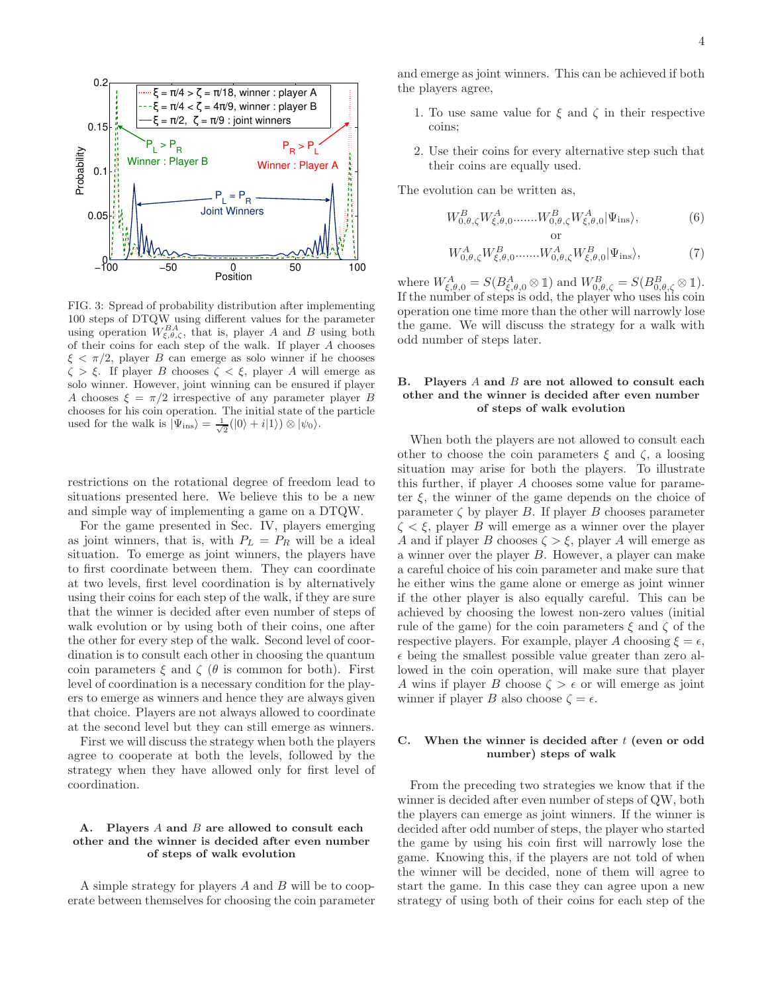

FIG. 3: Spread of probability distribution after implementing 100 steps of DTQW using different values for the parameter using operation  $W_{\xi,\theta,\zeta}^{BA}$ , that is, player A and B using both of their coins for each step of the walk. If player A chooses  $\xi < \pi/2$ , player B can emerge as solo winner if he chooses  $\zeta > \xi$ . If player B chooses  $\zeta < \xi$ , player A will emerge as solo winner. However, joint winning can be ensured if player A chooses  $\xi = \pi/2$  irrespective of any parameter player B chooses for his coin operation. The initial state of the particle used for the walk is  $|\Psi_{\text{ins}}\rangle = \frac{1}{\sqrt{2}}(|0\rangle + i|1\rangle) \otimes |\psi_0\rangle$ .

restrictions on the rotational degree of freedom lead to situations presented here. We believe this to be a new and simple way of implementing a game on a DTQW.

For the game presented in Sec. IV, players emerging as joint winners, that is, with  $P_L = P_R$  will be a ideal situation. To emerge as joint winners, the players have to first coordinate between them. They can coordinate at two levels, first level coordination is by alternatively using their coins for each step of the walk, if they are sure that the winner is decided after even number of steps of walk evolution or by using both of their coins, one after the other for every step of the walk. Second level of coordination is to consult each other in choosing the quantum coin parameters  $\xi$  and  $\zeta$  ( $\theta$  is common for both). First level of coordination is a necessary condition for the players to emerge as winners and hence they are always given that choice. Players are not always allowed to coordinate at the second level but they can still emerge as winners.

First we will discuss the strategy when both the players agree to cooperate at both the levels, followed by the strategy when they have allowed only for first level of coordination.

# A. Players  $A$  and  $B$  are allowed to consult each other and the winner is decided after even number of steps of walk evolution

A simple strategy for players A and B will be to cooperate between themselves for choosing the coin parameter and emerge as joint winners. This can be achieved if both the players agree,

- 1. To use same value for  $\xi$  and  $\zeta$  in their respective coins;
- 2. Use their coins for every alternative step such that their coins are equally used.

The evolution can be written as,

$$
W_{0,\theta,\zeta}^{B}W_{\xi,\theta,0}^{A} \dots \dots \dots W_{0,\theta,\zeta}^{B}W_{\xi,\theta,0}^{A}|\Psi_{\text{ins}}\rangle, \tag{6}
$$

$$
W_{0,\theta,\zeta}^A W_{\xi,\theta,0}^B \dots W_{0,\theta,\zeta}^A W_{\xi,\theta,0}^B |\Psi_{\text{ins}}\rangle, \tag{7}
$$

where  $W_{\xi,\theta,0}^A = S(B_{\xi,\theta,0}^A \otimes \mathbb{1})$  and  $W_{0,\theta,\zeta}^B = S(B_{0,\theta,\zeta}^B \otimes \mathbb{1}).$ If the number of steps is odd, the player who uses his coin operation one time more than the other will narrowly lose the game. We will discuss the strategy for a walk with odd number of steps later.

# B. Players  $A$  and  $B$  are not allowed to consult each other and the winner is decided after even number of steps of walk evolution

When both the players are not allowed to consult each other to choose the coin parameters  $\xi$  and  $\zeta$ , a loosing situation may arise for both the players. To illustrate this further, if player A chooses some value for parameter  $\xi$ , the winner of the game depends on the choice of parameter  $\zeta$  by player B. If player B chooses parameter  $\zeta < \xi$ , player B will emerge as a winner over the player A and if player B chooses  $\zeta > \xi$ , player A will emerge as a winner over the player B. However, a player can make a careful choice of his coin parameter and make sure that he either wins the game alone or emerge as joint winner if the other player is also equally careful. This can be achieved by choosing the lowest non-zero values (initial rule of the game) for the coin parameters  $\xi$  and  $\zeta$  of the respective players. For example, player A choosing  $\xi = \epsilon$ ,  $\epsilon$  being the smallest possible value greater than zero allowed in the coin operation, will make sure that player A wins if player B choose  $\zeta > \epsilon$  or will emerge as joint winner if player B also choose  $\zeta = \epsilon$ .

# C. When the winner is decided after  $t$  (even or odd number) steps of walk

From the preceding two strategies we know that if the winner is decided after even number of steps of QW, both the players can emerge as joint winners. If the winner is decided after odd number of steps, the player who started the game by using his coin first will narrowly lose the game. Knowing this, if the players are not told of when the winner will be decided, none of them will agree to start the game. In this case they can agree upon a new strategy of using both of their coins for each step of the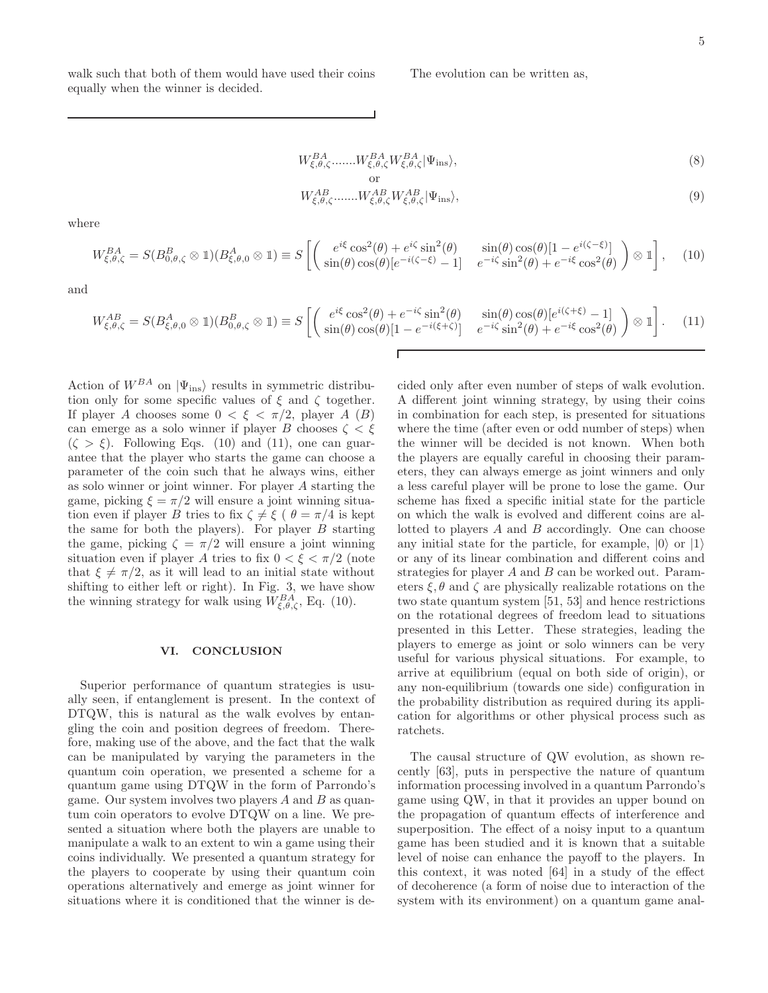walk such that both of them would have used their coins equally when the winner is decided.

The evolution can be written as,

$$
f_{\rm{max}}
$$

5

$$
W_{\xi,\theta,\zeta}^{BA} \dots \dots W_{\xi,\theta,\zeta}^{BA} W_{\xi,\theta,\zeta}^{BA} |\Psi_{\text{ins}}\rangle, \tag{8}
$$

$$
W_{\xi,\theta,\zeta}^{AB} \dots \dots W_{\xi,\theta,\zeta}^{AB} W_{\xi,\theta,\zeta}^{AB} |\Psi_{\text{ins}}\rangle, \tag{9}
$$

where

$$
W_{\xi,\theta,\zeta}^{BA} = S(B_{0,\theta,\zeta}^{B} \otimes 1)(B_{\xi,\theta,0}^{A} \otimes 1) \equiv S\left[\begin{pmatrix} e^{i\xi}\cos^{2}(\theta) + e^{i\zeta}\sin^{2}(\theta) & \sin(\theta)\cos(\theta)[1 - e^{i(\zeta - \xi)}] \\ \sin(\theta)\cos(\theta)[e^{-i(\zeta - \xi)} - 1] & e^{-i\zeta}\sin^{2}(\theta) + e^{-i\xi}\cos^{2}(\theta) \end{pmatrix} \otimes 1\right],
$$
 (10)

and

$$
W_{\xi,\theta,\zeta}^{AB} = S(B_{\xi,\theta,0}^{A} \otimes 1)(B_{0,\theta,\zeta}^{B} \otimes 1) \equiv S\left[ \begin{pmatrix} e^{i\xi}\cos^{2}(\theta) + e^{-i\zeta}\sin^{2}(\theta) & \sin(\theta)\cos(\theta)[e^{i(\zeta+\xi)} - 1] \\ \sin(\theta)\cos(\theta)[1 - e^{-i(\xi+\zeta)}] & e^{-i\zeta}\sin^{2}(\theta) + e^{-i\xi}\cos^{2}(\theta) \end{pmatrix} \otimes 1 \right].
$$
 (11)

Action of  $W^{BA}$  on  $|\Psi_{\text{ins}}\rangle$  results in symmetric distribution only for some specific values of  $\xi$  and  $\zeta$  together. If player A chooses some  $0 < \xi < \pi/2$ , player A (B) can emerge as a solo winner if player B chooses  $\zeta < \xi$  $(\zeta > \xi)$ . Following Eqs. (10) and (11), one can guarantee that the player who starts the game can choose a parameter of the coin such that he always wins, either as solo winner or joint winner. For player A starting the game, picking  $\xi = \pi/2$  will ensure a joint winning situation even if player B tries to fix  $\zeta \neq \xi$  (  $\theta = \pi/4$  is kept the same for both the players). For player  $B$  starting the game, picking  $\zeta = \pi/2$  will ensure a joint winning situation even if player A tries to fix  $0 < \xi < \pi/2$  (note that  $\xi \neq \pi/2$ , as it will lead to an initial state without shifting to either left or right). In Fig. 3, we have show the winning strategy for walk using  $W_{\xi,\theta,\zeta}^{BA}$ , Eq. (10).

#### VI. CONCLUSION

Superior performance of quantum strategies is usually seen, if entanglement is present. In the context of DTQW, this is natural as the walk evolves by entangling the coin and position degrees of freedom. Therefore, making use of the above, and the fact that the walk can be manipulated by varying the parameters in the quantum coin operation, we presented a scheme for a quantum game using DTQW in the form of Parrondo's game. Our system involves two players  $A$  and  $B$  as quantum coin operators to evolve DTQW on a line. We presented a situation where both the players are unable to manipulate a walk to an extent to win a game using their coins individually. We presented a quantum strategy for the players to cooperate by using their quantum coin operations alternatively and emerge as joint winner for situations where it is conditioned that the winner is decided only after even number of steps of walk evolution. A different joint winning strategy, by using their coins in combination for each step, is presented for situations where the time (after even or odd number of steps) when the winner will be decided is not known. When both the players are equally careful in choosing their parameters, they can always emerge as joint winners and only a less careful player will be prone to lose the game. Our scheme has fixed a specific initial state for the particle on which the walk is evolved and different coins are allotted to players A and B accordingly. One can choose any initial state for the particle, for example,  $|0\rangle$  or  $|1\rangle$ or any of its linear combination and different coins and strategies for player  $A$  and  $B$  can be worked out. Parameters  $\xi, \theta$  and  $\zeta$  are physically realizable rotations on the two state quantum system [51, 53] and hence restrictions on the rotational degrees of freedom lead to situations presented in this Letter. These strategies, leading the players to emerge as joint or solo winners can be very useful for various physical situations. For example, to arrive at equilibrium (equal on both side of origin), or any non-equilibrium (towards one side) configuration in the probability distribution as required during its application for algorithms or other physical process such as ratchets.

The causal structure of QW evolution, as shown recently [63], puts in perspective the nature of quantum information processing involved in a quantum Parrondo's game using QW, in that it provides an upper bound on the propagation of quantum effects of interference and superposition. The effect of a noisy input to a quantum game has been studied and it is known that a suitable level of noise can enhance the payoff to the players. In this context, it was noted [64] in a study of the effect of decoherence (a form of noise due to interaction of the system with its environment) on a quantum game anal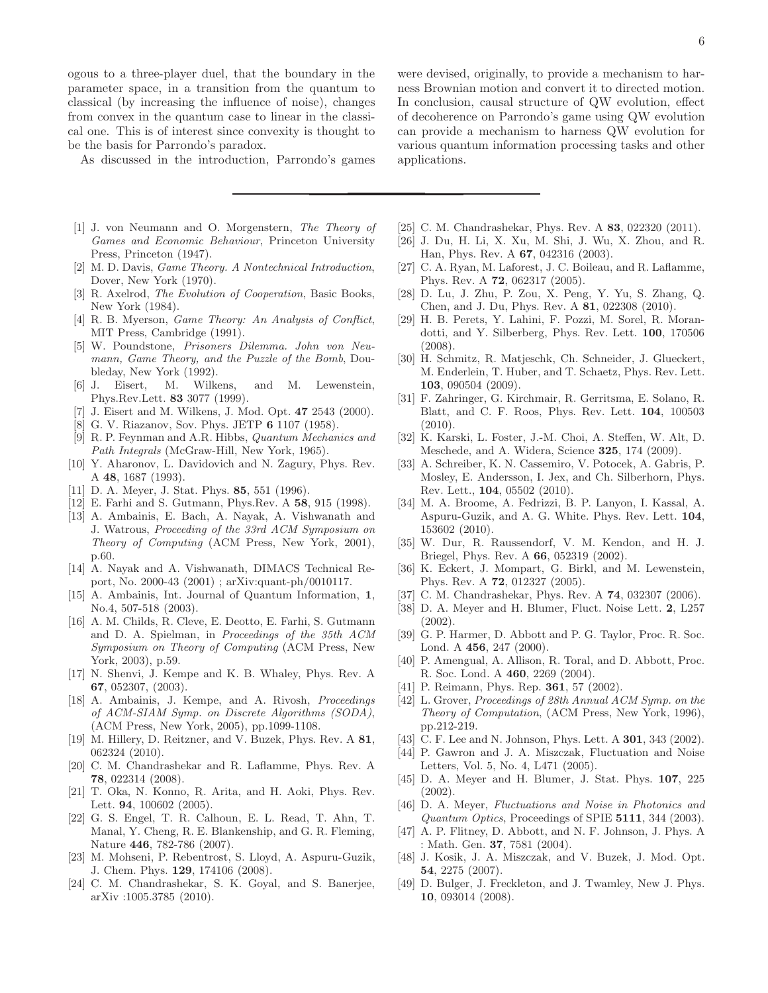ogous to a three-player duel, that the boundary in the parameter space, in a transition from the quantum to classical (by increasing the influence of noise), changes from convex in the quantum case to linear in the classical one. This is of interest since convexity is thought to be the basis for Parrondo's paradox.

As discussed in the introduction, Parrondo's games

- [1] J. von Neumann and O. Morgenstern, *The Theory of Games and Economic Behaviour*, Princeton University Press, Princeton (1947).
- [2] M. D. Davis, *Game Theory. A Nontechnical Introduction*, Dover, New York (1970).
- [3] R. Axelrod, *The Evolution of Cooperation*, Basic Books, New York (1984).
- [4] R. B. Myerson, *Game Theory: An Analysis of Conflict*, MIT Press, Cambridge (1991).
- [5] W. Poundstone, *Prisoners Dilemma. John von Neumann, Game Theory, and the Puzzle of the Bomb*, Doubleday, New York (1992).
- [6] J. Eisert, M. Wilkens, and M. Lewenstein, Phys.Rev.Lett. 83 3077 (1999).
- [7] J. Eisert and M. Wilkens, J. Mod. Opt. 47 2543 (2000).
- [8] G. V. Riazanov, Sov. Phys. JETP 6 1107 (1958).
- [9] R. P. Feynman and A.R. Hibbs, *Quantum Mechanics and Path Integrals* (McGraw-Hill, New York, 1965).
- [10] Y. Aharonov, L. Davidovich and N. Zagury, Phys. Rev. A 48, 1687 (1993).
- [11] D. A. Meyer, J. Stat. Phys. **85**, 551 (1996).
- [12] E. Farhi and S. Gutmann, Phys.Rev. A 58, 915 (1998).
- [13] A. Ambainis, E. Bach, A. Nayak, A. Vishwanath and J. Watrous, *Proceeding of the 33rd ACM Symposium on Theory of Computing* (ACM Press, New York, 2001), p.60.
- [14] A. Nayak and A. Vishwanath, DIMACS Technical Report, No. 2000-43 (2001) ; arXiv:quant-ph/0010117.
- [15] A. Ambainis, Int. Journal of Quantum Information, 1, No.4, 507-518 (2003).
- [16] A. M. Childs, R. Cleve, E. Deotto, E. Farhi, S. Gutmann and D. A. Spielman, in *Proceedings of the 35th ACM Symposium on Theory of Computing* (ACM Press, New York, 2003), p.59.
- [17] N. Shenvi, J. Kempe and K. B. Whaley, Phys. Rev. A 67, 052307, (2003).
- [18] A. Ambainis, J. Kempe, and A. Rivosh, *Proceedings of ACM-SIAM Symp. on Discrete Algorithms (SODA)*, (ACM Press, New York, 2005), pp.1099-1108.
- [19] M. Hillery, D. Reitzner, and V. Buzek, Phys. Rev. A 81, 062324 (2010).
- [20] C. M. Chandrashekar and R. Laflamme, Phys. Rev. A 78, 022314 (2008).
- [21] T. Oka, N. Konno, R. Arita, and H. Aoki, Phys. Rev. Lett. **94**, 100602 (2005).
- [22] G. S. Engel, T. R. Calhoun, E. L. Read, T. Ahn, T. Manal, Y. Cheng, R. E. Blankenship, and G. R. Fleming, Nature 446, 782-786 (2007).
- [23] M. Mohseni, P. Rebentrost, S. Lloyd, A. Aspuru-Guzik, J. Chem. Phys. 129, 174106 (2008).
- [24] C. M. Chandrashekar, S. K. Goyal, and S. Banerjee, arXiv :1005.3785 (2010).

were devised, originally, to provide a mechanism to harness Brownian motion and convert it to directed motion. In conclusion, causal structure of QW evolution, effect of decoherence on Parrondo's game using QW evolution can provide a mechanism to harness QW evolution for various quantum information processing tasks and other applications.

- [25] C. M. Chandrashekar, Phys. Rev. A 83, 022320 (2011).
- [26] J. Du, H. Li, X. Xu, M. Shi, J. Wu, X. Zhou, and R. Han, Phys. Rev. A 67, 042316 (2003).
- [27] C. A. Ryan, M. Laforest, J. C. Boileau, and R. Laflamme, Phys. Rev. A 72, 062317 (2005).
- [28] D. Lu, J. Zhu, P. Zou, X. Peng, Y. Yu, S. Zhang, Q. Chen, and J. Du, Phys. Rev. A 81, 022308 (2010).
- [29] H. B. Perets, Y. Lahini, F. Pozzi, M. Sorel, R. Morandotti, and Y. Silberberg, Phys. Rev. Lett. 100, 170506 (2008).
- [30] H. Schmitz, R. Matjeschk, Ch. Schneider, J. Glueckert, M. Enderlein, T. Huber, and T. Schaetz, Phys. Rev. Lett. 103, 090504 (2009).
- [31] F. Zahringer, G. Kirchmair, R. Gerritsma, E. Solano, R. Blatt, and C. F. Roos, Phys. Rev. Lett. 104, 100503 (2010).
- [32] K. Karski, L. Foster, J.-M. Choi, A. Steffen, W. Alt, D. Meschede, and A. Widera, Science 325, 174 (2009).
- [33] A. Schreiber, K. N. Cassemiro, V. Potocek, A. Gabris, P. Mosley, E. Andersson, I. Jex, and Ch. Silberhorn, Phys. Rev. Lett., 104, 05502 (2010).
- [34] M. A. Broome, A. Fedrizzi, B. P. Lanyon, I. Kassal, A. Aspuru-Guzik, and A. G. White. Phys. Rev. Lett. 104, 153602 (2010).
- [35] W. Dur, R. Raussendorf, V. M. Kendon, and H. J. Briegel, Phys. Rev. A 66, 052319 (2002).
- [36] K. Eckert, J. Mompart, G. Birkl, and M. Lewenstein, Phys. Rev. A 72, 012327 (2005).
- [37] C. M. Chandrashekar, Phys. Rev. A **74**, 032307 (2006).
- [38] D. A. Meyer and H. Blumer, Fluct. Noise Lett. 2, L257 (2002).
- [39] G. P. Harmer, D. Abbott and P. G. Taylor, Proc. R. Soc. Lond. A 456, 247 (2000).
- [40] P. Amengual, A. Allison, R. Toral, and D. Abbott, Proc. R. Soc. Lond. A 460, 2269 (2004).
- [41] P. Reimann, Phys. Rep. **361**, 57 (2002).
- [42] L. Grover, *Proceedings of 28th Annual ACM Symp. on the Theory of Computation*, (ACM Press, New York, 1996), pp.212-219.
- [43] C. F. Lee and N. Johnson, Phys. Lett. A **301**, 343 (2002).
- [44] P. Gawron and J. A. Miszczak, Fluctuation and Noise Letters, Vol. 5, No. 4, L471 (2005).
- [45] D. A. Meyer and H. Blumer, J. Stat. Phys. 107, 225 (2002).
- [46] D. A. Meyer, *Fluctuations and Noise in Photonics and Quantum Optics*, Proceedings of SPIE 5111, 344 (2003).
- [47] A. P. Flitney, D. Abbott, and N. F. Johnson, J. Phys. A : Math. Gen. 37, 7581 (2004).
- [48] J. Kosik, J. A. Miszczak, and V. Buzek, J. Mod. Opt. 54, 2275 (2007).
- [49] D. Bulger, J. Freckleton, and J. Twamley, New J. Phys. 10, 093014 (2008).